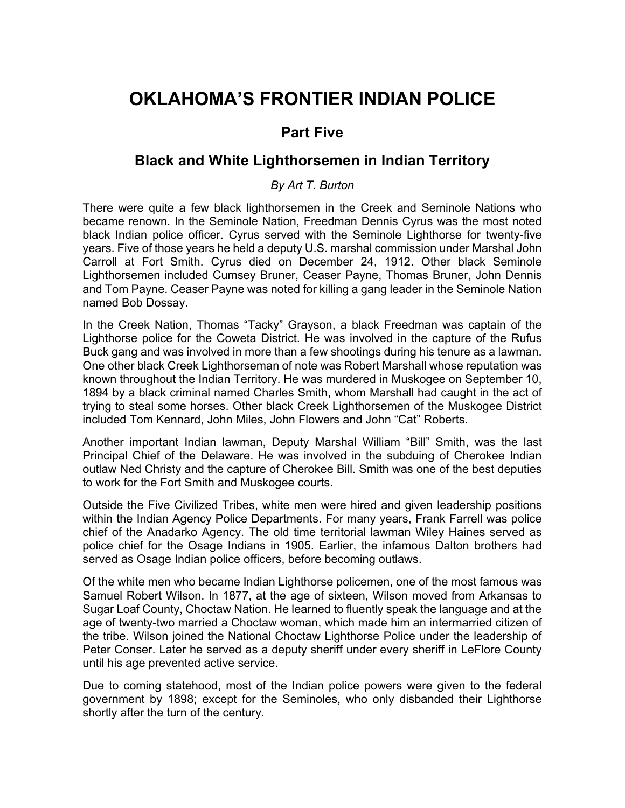## **OKLAHOMA'S FRONTIER INDIAN POLICE**

## **Part Five**

## **Black and White Lighthorsemen in Indian Territory**

*By Art T. Burton*

There were quite a few black lighthorsemen in the Creek and Seminole Nations who became renown. In the Seminole Nation, Freedman Dennis Cyrus was the most noted black Indian police officer. Cyrus served with the Seminole Lighthorse for twenty-five years. Five of those years he held a deputy U.S. marshal commission under Marshal John Carroll at Fort Smith. Cyrus died on December 24, 1912. Other black Seminole Lighthorsemen included Cumsey Bruner, Ceaser Payne, Thomas Bruner, John Dennis and Tom Payne. Ceaser Payne was noted for killing a gang leader in the Seminole Nation named Bob Dossay.

In the Creek Nation, Thomas "Tacky" Grayson, a black Freedman was captain of the Lighthorse police for the Coweta District. He was involved in the capture of the Rufus Buck gang and was involved in more than a few shootings during his tenure as a lawman. One other black Creek Lighthorseman of note was Robert Marshall whose reputation was known throughout the Indian Territory. He was murdered in Muskogee on September 10, 1894 by a black criminal named Charles Smith, whom Marshall had caught in the act of trying to steal some horses. Other black Creek Lighthorsemen of the Muskogee District included Tom Kennard, John Miles, John Flowers and John "Cat" Roberts.

Another important Indian lawman, Deputy Marshal William "Bill" Smith, was the last Principal Chief of the Delaware. He was involved in the subduing of Cherokee Indian outlaw Ned Christy and the capture of Cherokee Bill. Smith was one of the best deputies to work for the Fort Smith and Muskogee courts.

Outside the Five Civilized Tribes, white men were hired and given leadership positions within the Indian Agency Police Departments. For many years, Frank Farrell was police chief of the Anadarko Agency. The old time territorial lawman Wiley Haines served as police chief for the Osage Indians in 1905. Earlier, the infamous Dalton brothers had served as Osage Indian police officers, before becoming outlaws.

Of the white men who became Indian Lighthorse policemen, one of the most famous was Samuel Robert Wilson. In 1877, at the age of sixteen, Wilson moved from Arkansas to Sugar Loaf County, Choctaw Nation. He learned to fluently speak the language and at the age of twenty-two married a Choctaw woman, which made him an intermarried citizen of the tribe. Wilson joined the National Choctaw Lighthorse Police under the leadership of Peter Conser. Later he served as a deputy sheriff under every sheriff in LeFlore County until his age prevented active service.

Due to coming statehood, most of the Indian police powers were given to the federal government by 1898; except for the Seminoles, who only disbanded their Lighthorse shortly after the turn of the century.